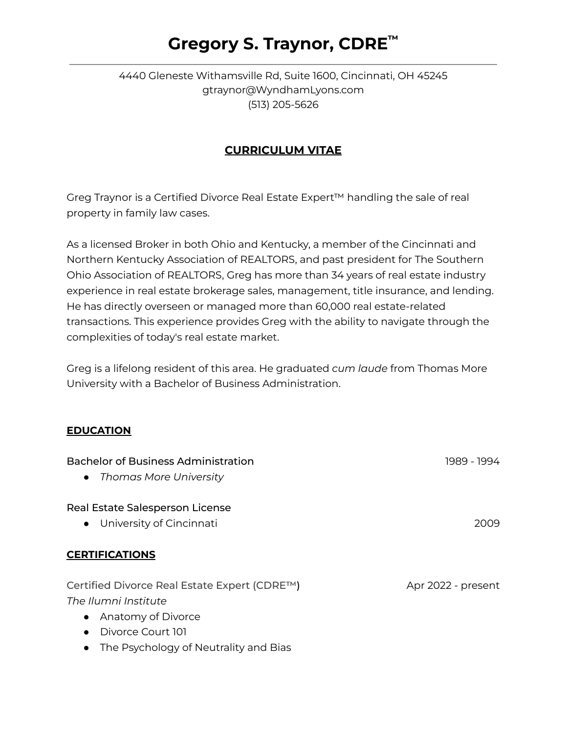# **Gregory S. Traynor, CDRE ™**

#### 4440 Gleneste Withamsville Rd, Suite 1600, Cincinnati, OH 45245 gtraynor@WyndhamLyons.com (513) 205-5626

## **CURRICULUM VITAE**

Greg Traynor is a Certified Divorce Real Estate Expert™ handling the sale of real property in family law cases.

As a licensed Broker in both Ohio and Kentucky, a member of the Cincinnati and Northern Kentucky Association of REALTORS, and past president for The Southern Ohio Association of REALTORS, Greg has more than 34 years of real estate industry experience in real estate brokerage sales, management, title insurance, and lending. He has directly overseen or managed more than 60,000 real estate-related transactions. This experience provides Greg with the ability to navigate through the complexities of today's real estate market.

Greg is a lifelong resident of this area. He graduated *cum laude* from Thomas More University with a Bachelor of Business Administration.

#### **EDUCATION**

| <b>Bachelor of Business Administration</b>   | 1989 - 1994        |
|----------------------------------------------|--------------------|
| • Thomas More University                     |                    |
| Real Estate Salesperson License              |                    |
| • University of Cincinnati                   | 2009               |
| <b>CERTIFICATIONS</b>                        |                    |
| Certified Divorce Real Estate Expert (CDRE™) | Apr 2022 - present |
| The Ilumni Institute                         |                    |
| Anatomy of Divorce<br>$\bullet$              |                    |
| Divorce Court 101                            |                    |

• The Psychology of Neutrality and Bias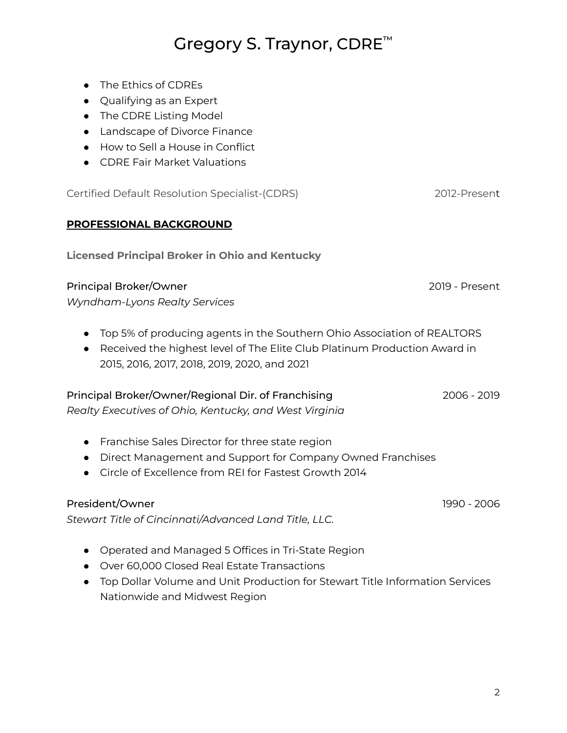2

# Gregory S. Traynor, CDRE<sup>™</sup>

- The Ethics of CDREs
- Qualifying as an Expert
- The CDRE Listing Model
- Landscape of Divorce Finance
- How to Sell a House in Conflict
- CDRE Fair Market Valuations

Certified Default Resolution Specialist-(CDRS) 2012-Present

#### **PROFESSIONAL BACKGROUND**

**Licensed Principal Broker in Ohio and Kentucky**

#### Principal Broker/Owner 2019 - Present

*Wyndham-Lyons Realty Services*

- Top 5% of producing agents in the Southern Ohio Association of REALTORS
- Received the highest level of The Elite Club Platinum Production Award in 2015, 2016, 2017, 2018, 2019, 2020, and 2021

### Principal Broker/Owner/Regional Dir. of Franchising 2006 - 2019

*Realty Executives of Ohio, Kentucky, and West Virginia*

- Franchise Sales Director for three state region
- Direct Management and Support for Company Owned Franchises
- Circle of Excellence from REI for Fastest Growth 2014

### President/Owner 1990 - 2006

*Stewart Title of Cincinnati/Advanced Land Title, LLC.*

- Operated and Managed 5 Offices in Tri-State Region
- Over 60,000 Closed Real Estate Transactions
- Top Dollar Volume and Unit Production for Stewart Title Information Services Nationwide and Midwest Region